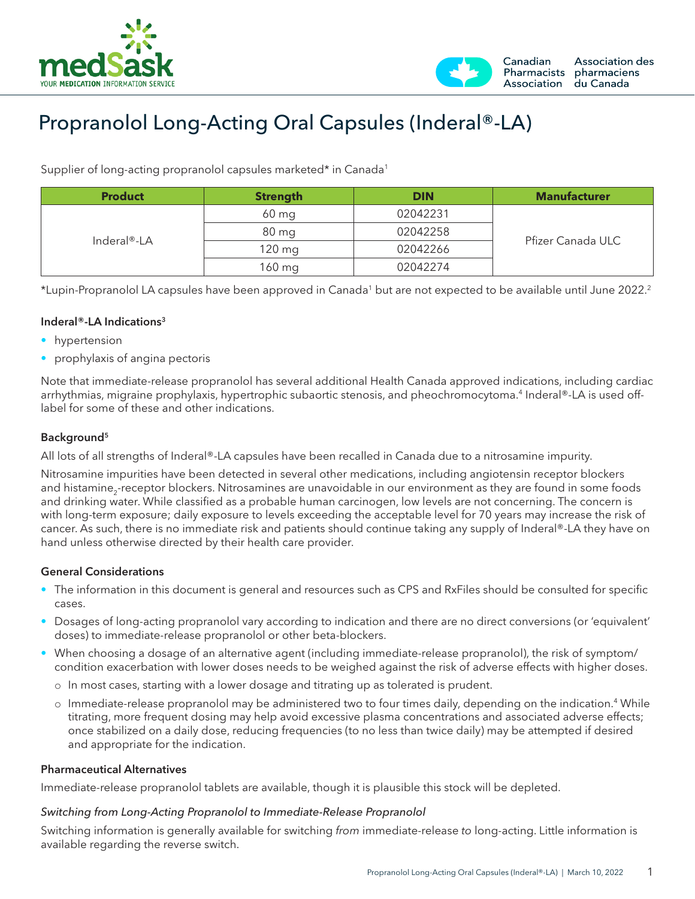



# Propranolol Long-Acting Oral Capsules (Inderal®-LA)

Supplier of long-acting propranolol capsules marketed\* in Canada<sup>1</sup>

| <b>Product</b>           | <b>Strength</b> | <b>DIN</b> | <b>Manufacturer</b> |  |
|--------------------------|-----------------|------------|---------------------|--|
| Inderal <sup>®</sup> -LA | $60$ mg         | 02042231   |                     |  |
|                          | 80 mg           | 02042258   |                     |  |
|                          | $120$ mg        | 02042266   | Pfizer Canada ULC   |  |
|                          | 160 mg          | 02042274   |                     |  |

\*Lupin-Propranolol LA capsules have been approved in Canada1 but are not expected to be available until June 2022.2

## Inderal®-LA Indications<sup>3</sup>

- hypertension
- prophylaxis of angina pectoris

Note that immediate-release propranolol has several additional Health Canada approved indications, including cardiac arrhythmias, migraine prophylaxis, hypertrophic subaortic stenosis, and pheochromocytoma.<sup>4</sup> Inderal®-LA is used offlabel for some of these and other indications.

## Background5

All lots of all strengths of Inderal®-LA capsules have been recalled in Canada due to a nitrosamine impurity.

Nitrosamine impurities have been detected in several other medications, including angiotensin receptor blockers and histamine<sub>2</sub>-receptor blockers. Nitrosamines are unavoidable in our environment as they are found in some foods and drinking water. While classified as a probable human carcinogen, low levels are not concerning. The concern is with long-term exposure; daily exposure to levels exceeding the acceptable level for 70 years may increase the risk of cancer. As such, there is no immediate risk and patients should continue taking any supply of Inderal®-LA they have on hand unless otherwise directed by their health care provider.

### General Considerations

- The information in this document is general and resources such as CPS and RxFiles should be consulted for specific cases.
- Dosages of long-acting propranolol vary according to indication and there are no direct conversions (or 'equivalent' doses) to immediate-release propranolol or other beta-blockers.
- When choosing a dosage of an alternative agent (including immediate-release propranolol), the risk of symptom/ condition exacerbation with lower doses needs to be weighed against the risk of adverse effects with higher doses.
	- o In most cases, starting with a lower dosage and titrating up as tolerated is prudent.
	- o Immediate-release propranolol may be administered two to four times daily, depending on the indication.4 While titrating, more frequent dosing may help avoid excessive plasma concentrations and associated adverse effects; once stabilized on a daily dose, reducing frequencies (to no less than twice daily) may be attempted if desired and appropriate for the indication.

#### Pharmaceutical Alternatives

Immediate-release propranolol tablets are available, though it is plausible this stock will be depleted.

### *Switching from Long-Acting Propranolol to Immediate-Release Propranolol*

Switching information is generally available for switching *from* immediate-release *to* long-acting. Little information is available regarding the reverse switch.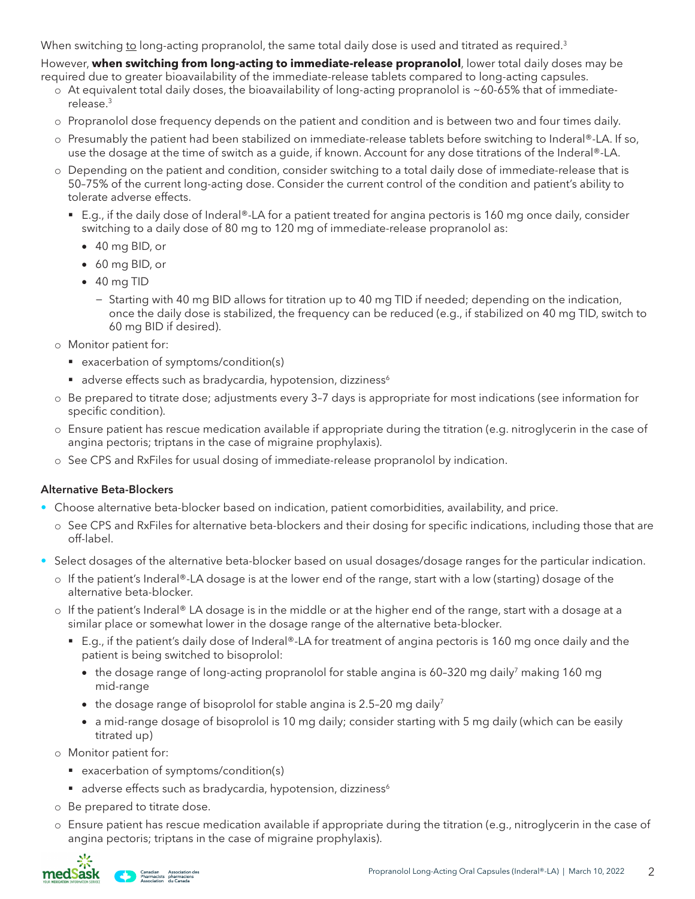When switching to long-acting propranolol, the same total daily dose is used and titrated as required.<sup>3</sup>

However, **when switching from long-acting to immediate-release propranolol**, lower total daily doses may be required due to greater bioavailability of the immediate-release tablets compared to long-acting capsules.

- $\circ$  At equivalent total daily doses, the bioavailability of long-acting propranolol is ~60-65% that of immediaterelease.3
- o Propranolol dose frequency depends on the patient and condition and is between two and four times daily.
- o Presumably the patient had been stabilized on immediate-release tablets before switching to Inderal®-LA. If so, use the dosage at the time of switch as a guide, if known. Account for any dose titrations of the Inderal®-LA.
- o Depending on the patient and condition, consider switching to a total daily dose of immediate-release that is 50–75% of the current long-acting dose. Consider the current control of the condition and patient's ability to tolerate adverse effects.
	- E.g., if the daily dose of Inderal®-LA for a patient treated for angina pectoris is 160 mg once daily, consider switching to a daily dose of 80 mg to 120 mg of immediate-release propranolol as:
		- • 40 mg BID, or
		- • 60 mg BID, or
		- • 40 mg TID
			- − Starting with 40 mg BID allows for titration up to 40 mg TID if needed; depending on the indication, once the daily dose is stabilized, the frequency can be reduced (e.g., if stabilized on 40 mg TID, switch to 60 mg BID if desired).
- o Monitor patient for:
	- exacerbation of symptoms/condition(s)
	- adverse effects such as bradycardia, hypotension, dizziness<sup>6</sup>
- o Be prepared to titrate dose; adjustments every 3–7 days is appropriate for most indications (see information for specific condition).
- o Ensure patient has rescue medication available if appropriate during the titration (e.g. nitroglycerin in the case of angina pectoris; triptans in the case of migraine prophylaxis).
- o See CPS and RxFiles for usual dosing of immediate-release propranolol by indication.

## Alternative Beta-Blockers

- Choose alternative beta-blocker based on indication, patient comorbidities, availability, and price.
	- o See CPS and RxFiles for alternative beta-blockers and their dosing for specific indications, including those that are off-label.
- Select dosages of the alternative beta-blocker based on usual dosages/dosage ranges for the particular indication.
	- o If the patient's Inderal®-LA dosage is at the lower end of the range, start with a low (starting) dosage of the alternative beta-blocker.
	- $\circ$  If the patient's Inderal® LA dosage is in the middle or at the higher end of the range, start with a dosage at a similar place or somewhat lower in the dosage range of the alternative beta-blocker.
		- E.g., if the patient's daily dose of Inderal®-LA for treatment of angina pectoris is 160 mg once daily and the patient is being switched to bisoprolol:
			- the dosage range of long-acting propranolol for stable angina is 60-320 mg daily7 making 160 mg mid-range
			- the dosage range of bisoprolol for stable angina is 2.5-20 mg daily<sup>7</sup>
			- a mid-range dosage of bisoprolol is 10 mg daily; consider starting with 5 mg daily (which can be easily titrated up)
	- o Monitor patient for:
		- exacerbation of symptoms/condition(s)
		- adverse effects such as bradycardia, hypotension, dizziness<sup>6</sup>
	- o Be prepared to titrate dose.
	- o Ensure patient has rescue medication available if appropriate during the titration (e.g., nitroglycerin in the case of angina pectoris; triptans in the case of migraine prophylaxis).

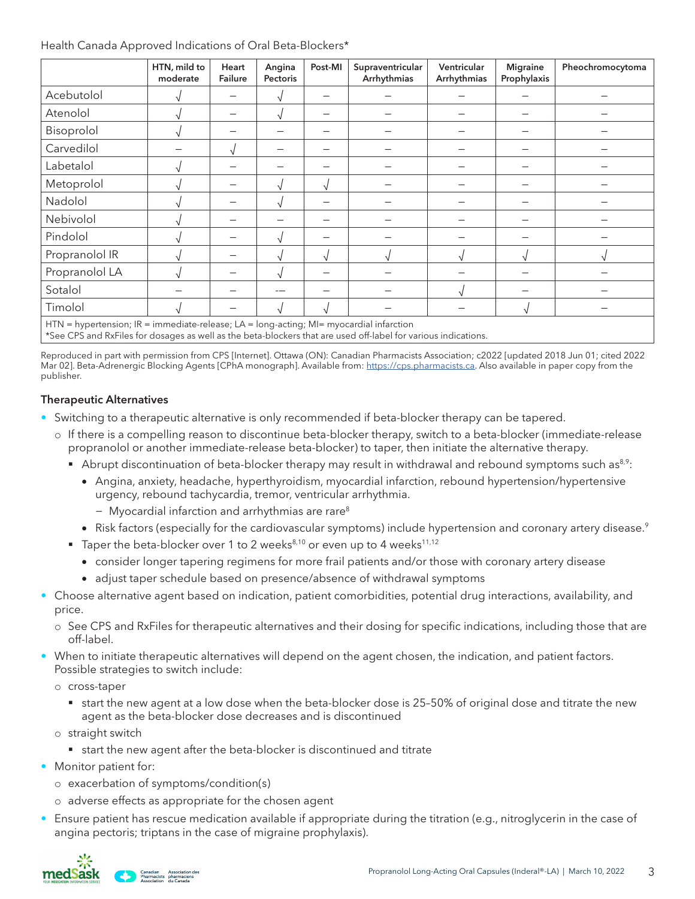### Health Canada Approved Indications of Oral Beta-Blockers\*

|                                                                                         | HTN, mild to<br>moderate | Heart<br>Failure         | Angina<br>Pectoris | Post-MI    | Supraventricular<br>Arrhythmias | Ventricular<br>Arrhythmias | <b>Migraine</b><br>Prophylaxis | Pheochromocytoma |  |
|-----------------------------------------------------------------------------------------|--------------------------|--------------------------|--------------------|------------|---------------------------------|----------------------------|--------------------------------|------------------|--|
| Acebutolol                                                                              |                          | $\overline{\phantom{0}}$ |                    |            |                                 |                            |                                |                  |  |
| Atenolol                                                                                |                          |                          |                    |            |                                 |                            |                                |                  |  |
| Bisoprolol                                                                              |                          | –                        |                    |            |                                 |                            |                                |                  |  |
| Carvedilol                                                                              |                          |                          |                    |            |                                 |                            |                                |                  |  |
| Labetalol                                                                               |                          |                          |                    |            |                                 |                            |                                |                  |  |
| Metoprolol                                                                              |                          | $\overline{\phantom{0}}$ |                    | $\sqrt{ }$ |                                 |                            |                                |                  |  |
| Nadolol                                                                                 |                          |                          |                    |            |                                 |                            |                                |                  |  |
| Nebivolol                                                                               |                          | -                        |                    |            |                                 |                            |                                |                  |  |
| Pindolol                                                                                |                          |                          |                    |            |                                 |                            |                                |                  |  |
| Propranolol IR                                                                          |                          |                          |                    | $\sqrt{ }$ |                                 |                            |                                |                  |  |
| Propranolol LA                                                                          |                          | $\overline{\phantom{0}}$ |                    |            |                                 |                            |                                |                  |  |
| Sotalol                                                                                 |                          |                          |                    |            |                                 |                            |                                |                  |  |
| Timolol                                                                                 |                          |                          |                    |            |                                 |                            |                                |                  |  |
| HTN = hypertension; IR = immediate-release; LA = long-acting; MI= myocardial infarction |                          |                          |                    |            |                                 |                            |                                |                  |  |

\*See CPS and RxFiles for dosages as well as the beta-blockers that are used off-label for various indications.

Reproduced in part with permission from CPS [Internet]. Ottawa (ON): Canadian Pharmacists Association; c2022 [updated 2018 Jun 01; cited 2022 Mar 02]. Beta-Adrenergic Blocking Agents [CPhA monograph]. Available from: <https://cps.pharmacists.ca>. Also available in paper copy from the publisher.

### Therapeutic Alternatives

- Switching to a therapeutic alternative is only recommended if beta-blocker therapy can be tapered.
	- o If there is a compelling reason to discontinue beta-blocker therapy, switch to a beta-blocker (immediate-release propranolol or another immediate-release beta-blocker) to taper, then initiate the alternative therapy.
		- Abrupt discontinuation of beta-blocker therapy may result in withdrawal and rebound symptoms such as<sup>8,9</sup>:
			- • Angina, anxiety, headache, hyperthyroidism, myocardial infarction, rebound hypertension/hypertensive urgency, rebound tachycardia, tremor, ventricular arrhythmia.
				- − Myocardial infarction and arrhythmias are rare8
			- Risk factors (especially for the cardiovascular symptoms) include hypertension and coronary artery disease.<sup>9</sup>
		- Taper the beta-blocker over 1 to 2 weeks<sup>8,10</sup> or even up to 4 weeks<sup>11,12</sup>
			- • consider longer tapering regimens for more frail patients and/or those with coronary artery disease
			- • adjust taper schedule based on presence/absence of withdrawal symptoms
- Choose alternative agent based on indication, patient comorbidities, potential drug interactions, availability, and price.
	- o See CPS and RxFiles for therapeutic alternatives and their dosing for specific indications, including those that are off-label.
- When to initiate therapeutic alternatives will depend on the agent chosen, the indication, and patient factors. Possible strategies to switch include:
	- o cross-taper
		- start the new agent at a low dose when the beta-blocker dose is 25–50% of original dose and titrate the new agent as the beta-blocker dose decreases and is discontinued
	- o straight switch
		- start the new agent after the beta-blocker is discontinued and titrate
- Monitor patient for:
	- o exacerbation of symptoms/condition(s)
	- o adverse effects as appropriate for the chosen agent
- Ensure patient has rescue medication available if appropriate during the titration (e.g., nitroglycerin in the case of angina pectoris; triptans in the case of migraine prophylaxis).